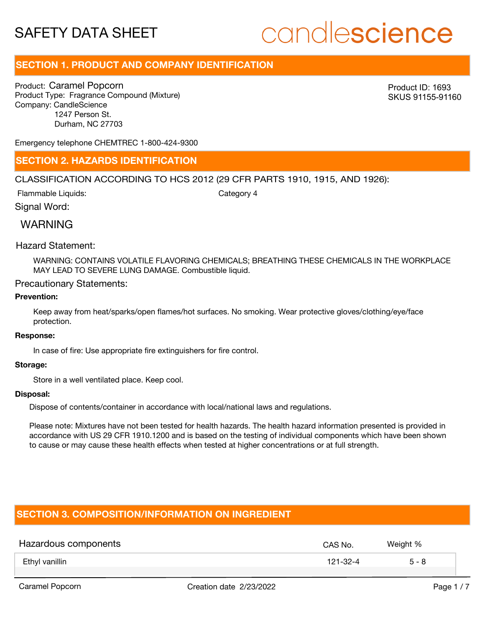# candlescience

## **SECTION 1. PRODUCT AND COMPANY IDENTIFICATION**

Product: Caramel Popcorn Product Type: Fragrance Compound (Mixture) Company: CandleScience 1247 Person St. Durham, NC 27703

Product ID: 1693 SKUS 91155-91160

Emergency telephone CHEMTREC 1-800-424-9300

### **SECTION 2. HAZARDS IDENTIFICATION**

### CLASSIFICATION ACCORDING TO HCS 2012 (29 CFR PARTS 1910, 1915, AND 1926):

Flammable Liquids:

Category 4

## WARNING

Signal Word:

### Hazard Statement:

WARNING: CONTAINS VOLATILE FLAVORING CHEMICALS; BREATHING THESE CHEMICALS IN THE WORKPLACE MAY LEAD TO SEVERE LUNG DAMAGE. Combustible liquid.

### Precautionary Statements:

### **Prevention:**

Keep away from heat/sparks/open flames/hot surfaces. No smoking. Wear protective gloves/clothing/eye/face protection.

#### **Response:**

In case of fire: Use appropriate fire extinguishers for fire control.

### **Storage:**

Store in a well ventilated place. Keep cool.

#### **Disposal:**

Dispose of contents/container in accordance with local/national laws and regulations.

Please note: Mixtures have not been tested for health hazards. The health hazard information presented is provided in accordance with US 29 CFR 1910.1200 and is based on the testing of individual components which have been shown to cause or may cause these health effects when tested at higher concentrations or at full strength.

### **SECTION 3. COMPOSITION/INFORMATION ON INGREDIENT**

| Hazardous components | CAS No.  | Weight % |
|----------------------|----------|----------|
| Ethyl vanillin       | 121-32-4 | $5 - 8$  |
|                      |          |          |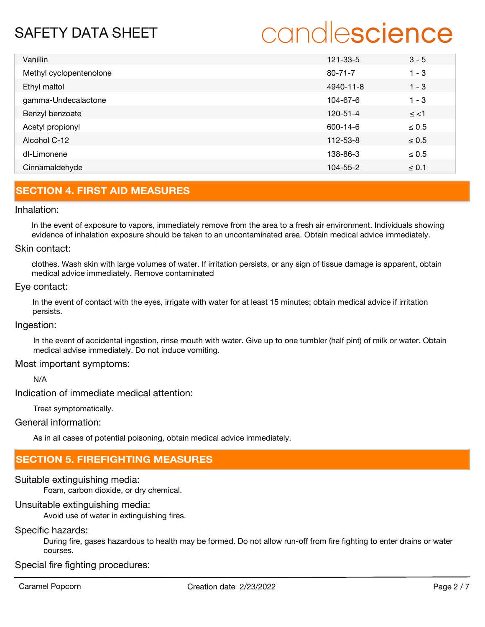# candlescience

| Vanillin                | 121-33-5       | $3 - 5$    |
|-------------------------|----------------|------------|
| Methyl cyclopentenolone | $80 - 71 - 7$  | $1 - 3$    |
| Ethyl maltol            | 4940-11-8      | $1 - 3$    |
| gamma-Undecalactone     | 104-67-6       | $1 - 3$    |
| Benzyl benzoate         | 120-51-4       | $\le$ <1   |
| Acetyl propionyl        | 600-14-6       | $\leq 0.5$ |
| Alcohol C-12            | $112 - 53 - 8$ | $\leq 0.5$ |
| dl-Limonene             | 138-86-3       | $\leq 0.5$ |
| Cinnamaldehyde          | 104-55-2       | $\leq 0.1$ |

# **SECTION 4. FIRST AID MEASURES**

### Inhalation:

In the event of exposure to vapors, immediately remove from the area to a fresh air environment. Individuals showing evidence of inhalation exposure should be taken to an uncontaminated area. Obtain medical advice immediately.

### Skin contact:

clothes. Wash skin with large volumes of water. If irritation persists, or any sign of tissue damage is apparent, obtain medical advice immediately. Remove contaminated

### Eye contact:

In the event of contact with the eyes, irrigate with water for at least 15 minutes; obtain medical advice if irritation persists.

### Ingestion:

In the event of accidental ingestion, rinse mouth with water. Give up to one tumbler (half pint) of milk or water. Obtain medical advise immediately. Do not induce vomiting.

### Most important symptoms:

N/A

Indication of immediate medical attention:

Treat symptomatically.

### General information:

As in all cases of potential poisoning, obtain medical advice immediately.

## **SECTION 5. FIREFIGHTING MEASURES**

### Suitable extinguishing media:

Foam, carbon dioxide, or dry chemical.

### Unsuitable extinguishing media:

Avoid use of water in extinguishing fires.

### Specific hazards:

During fire, gases hazardous to health may be formed. Do not allow run-off from fire fighting to enter drains or water courses.

Special fire fighting procedures: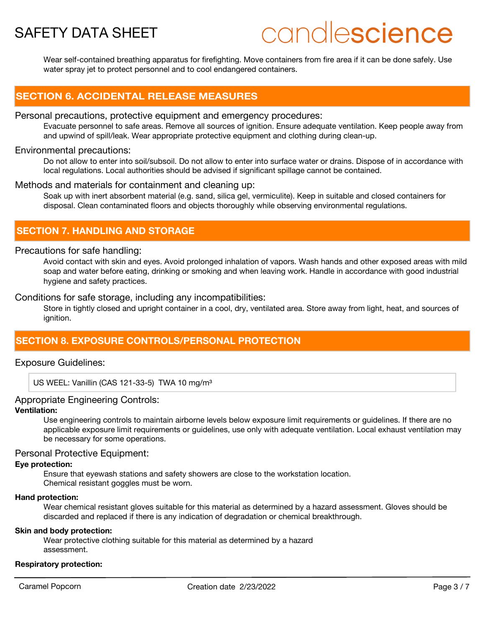# candlescience

Wear self-contained breathing apparatus for firefighting. Move containers from fire area if it can be done safely. Use water spray jet to protect personnel and to cool endangered containers.

### **SECTION 6. ACCIDENTAL RELEASE MEASURES**

### Personal precautions, protective equipment and emergency procedures:

Evacuate personnel to safe areas. Remove all sources of ignition. Ensure adequate ventilation. Keep people away from and upwind of spill/leak. Wear appropriate protective equipment and clothing during clean-up.

### Environmental precautions:

Do not allow to enter into soil/subsoil. Do not allow to enter into surface water or drains. Dispose of in accordance with local regulations. Local authorities should be advised if significant spillage cannot be contained.

### Methods and materials for containment and cleaning up:

Soak up with inert absorbent material (e.g. sand, silica gel, vermiculite). Keep in suitable and closed containers for disposal. Clean contaminated floors and objects thoroughly while observing environmental regulations.

## **SECTION 7. HANDLING AND STORAGE**

### Precautions for safe handling:

Avoid contact with skin and eyes. Avoid prolonged inhalation of vapors. Wash hands and other exposed areas with mild soap and water before eating, drinking or smoking and when leaving work. Handle in accordance with good industrial hygiene and safety practices.

### Conditions for safe storage, including any incompatibilities:

Store in tightly closed and upright container in a cool, dry, ventilated area. Store away from light, heat, and sources of ianition.

### **SECTION 8. EXPOSURE CONTROLS/PERSONAL PROTECTION**

### Exposure Guidelines:

US WEEL: Vanillin (CAS 121-33-5) TWA 10 mg/m<sup>3</sup>

### Appropriate Engineering Controls:

### **Ventilation:**

Use engineering controls to maintain airborne levels below exposure limit requirements or guidelines. If there are no applicable exposure limit requirements or guidelines, use only with adequate ventilation. Local exhaust ventilation may be necessary for some operations.

### Personal Protective Equipment:

### **Eye protection:**

Ensure that eyewash stations and safety showers are close to the workstation location. Chemical resistant goggles must be worn.

### **Hand protection:**

Wear chemical resistant gloves suitable for this material as determined by a hazard assessment. Gloves should be discarded and replaced if there is any indication of degradation or chemical breakthrough.

### **Skin and body protection:**

Wear protective clothing suitable for this material as determined by a hazard assessment.

### **Respiratory protection:**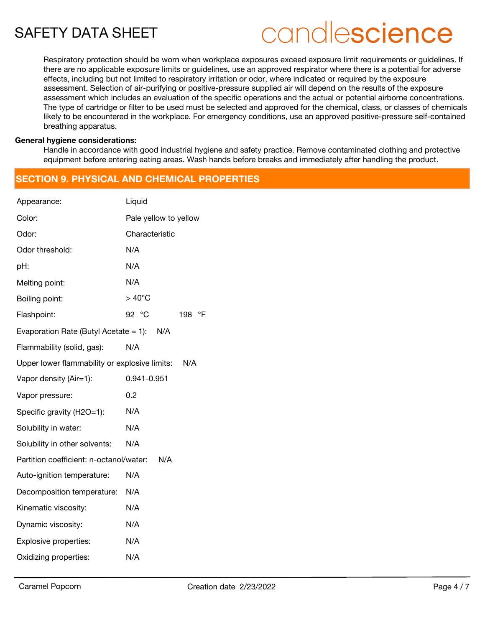# candlescience

Respiratory protection should be worn when workplace exposures exceed exposure limit requirements or guidelines. If there are no applicable exposure limits or guidelines, use an approved respirator where there is a potential for adverse effects, including but not limited to respiratory irritation or odor, where indicated or required by the exposure assessment. Selection of air-purifying or positive-pressure supplied air will depend on the results of the exposure assessment which includes an evaluation of the specific operations and the actual or potential airborne concentrations. The type of cartridge or filter to be used must be selected and approved for the chemical, class, or classes of chemicals likely to be encountered in the workplace. For emergency conditions, use an approved positive-pressure self-contained breathing apparatus.

### **General hygiene considerations:**

Handle in accordance with good industrial hygiene and safety practice. Remove contaminated clothing and protective equipment before entering eating areas. Wash hands before breaks and immediately after handling the product.

## **SECTION 9. PHYSICAL AND CHEMICAL PROPERTIES**

| Appearance:                                   | Liquid                       |  |  |
|-----------------------------------------------|------------------------------|--|--|
| Color:                                        | Pale yellow to yellow        |  |  |
| Odor:                                         | Characteristic               |  |  |
| Odor threshold:                               | N/A                          |  |  |
| pH:                                           | N/A                          |  |  |
| Melting point:                                | N/A                          |  |  |
| Boiling point:                                | $>40^{\circ}$ C              |  |  |
| Flashpoint:                                   | 92 °C<br>$\mathsf{P}$<br>198 |  |  |
| Evaporation Rate (Butyl Acetate $= 1$ ):      | N/A                          |  |  |
| Flammability (solid, gas):                    | N/A                          |  |  |
| Upper lower flammability or explosive limits: | N/A                          |  |  |
| Vapor density (Air=1):                        | 0.941-0.951                  |  |  |
| Vapor pressure:                               | 0.2                          |  |  |
| Specific gravity (H2O=1):                     | N/A                          |  |  |
| Solubility in water:                          | N/A                          |  |  |
| Solubility in other solvents:                 | N/A                          |  |  |
| Partition coefficient: n-octanol/water:       | N/A                          |  |  |
| Auto-ignition temperature:                    | N/A                          |  |  |
| Decomposition temperature:                    | N/A                          |  |  |
| Kinematic viscosity:                          | N/A                          |  |  |
| Dynamic viscosity:                            | N/A                          |  |  |
| Explosive properties:                         | N/A                          |  |  |
| Oxidizing properties:                         | N/A                          |  |  |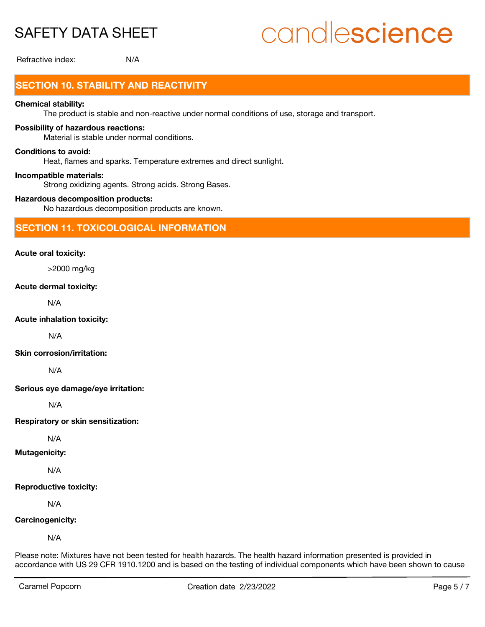# candlescience

Refractive index: N/A

# **SECTION 10. STABILITY AND REACTIVITY**

### **Chemical stability:**

The product is stable and non-reactive under normal conditions of use, storage and transport.

### **Possibility of hazardous reactions:**

Material is stable under normal conditions.

### **Conditions to avoid:**

Heat, flames and sparks. Temperature extremes and direct sunlight.

### **Incompatible materials:**

Strong oxidizing agents. Strong acids. Strong Bases.

### **Hazardous decomposition products:**

No hazardous decomposition products are known.

### **SECTION 11. TOXICOLOGICAL INFORMATION**

### **Acute oral toxicity:**

>2000 mg/kg

### **Acute dermal toxicity:**

N/A

### **Acute inhalation toxicity:**

N/A

### **Skin corrosion/irritation:**

N/A

**Serious eye damage/eye irritation:**

N/A

**Respiratory or skin sensitization:**

N/A

### **Mutagenicity:**

N/A

### **Reproductive toxicity:**

N/A

### **Carcinogenicity:**

N/A

Please note: Mixtures have not been tested for health hazards. The health hazard information presented is provided in accordance with US 29 CFR 1910.1200 and is based on the testing of individual components which have been shown to cause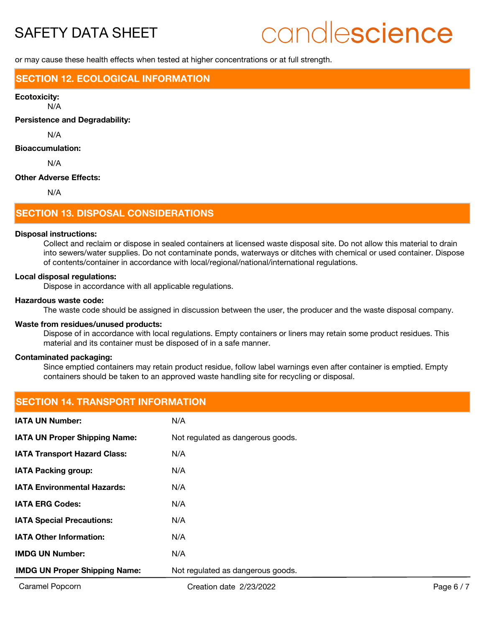# candlescience

or may cause these health effects when tested at higher concentrations or at full strength.

### **SECTION 12. ECOLOGICAL INFORMATION**

#### **Ecotoxicity:**

N/A

**Persistence and Degradability:**

N/A

### **Bioaccumulation:**

N/A

### **Other Adverse Effects:**

N/A

### **SECTION 13. DISPOSAL CONSIDERATIONS**

#### **Disposal instructions:**

Collect and reclaim or dispose in sealed containers at licensed waste disposal site. Do not allow this material to drain into sewers/water supplies. Do not contaminate ponds, waterways or ditches with chemical or used container. Dispose of contents/container in accordance with local/regional/national/international regulations.

#### **Local disposal regulations:**

Dispose in accordance with all applicable regulations.

#### **Hazardous waste code:**

The waste code should be assigned in discussion between the user, the producer and the waste disposal company.

### **Waste from residues/unused products:**

Dispose of in accordance with local regulations. Empty containers or liners may retain some product residues. This material and its container must be disposed of in a safe manner.

### **Contaminated packaging:**

Since emptied containers may retain product residue, follow label warnings even after container is emptied. Empty containers should be taken to an approved waste handling site for recycling or disposal.

# **SECTION 14. TRANSPORT INFORMATION**

| <b>IATA UN Number:</b>               | N/A                               |
|--------------------------------------|-----------------------------------|
| <b>IATA UN Proper Shipping Name:</b> | Not regulated as dangerous goods. |
| <b>IATA Transport Hazard Class:</b>  | N/A                               |
| <b>IATA Packing group:</b>           | N/A                               |
| <b>IATA Environmental Hazards:</b>   | N/A                               |
| <b>IATA ERG Codes:</b>               | N/A                               |
| <b>IATA Special Precautions:</b>     | N/A                               |
| <b>IATA Other Information:</b>       | N/A                               |
| <b>IMDG UN Number:</b>               | N/A                               |
| <b>IMDG UN Proper Shipping Name:</b> | Not regulated as dangerous goods. |
|                                      |                                   |